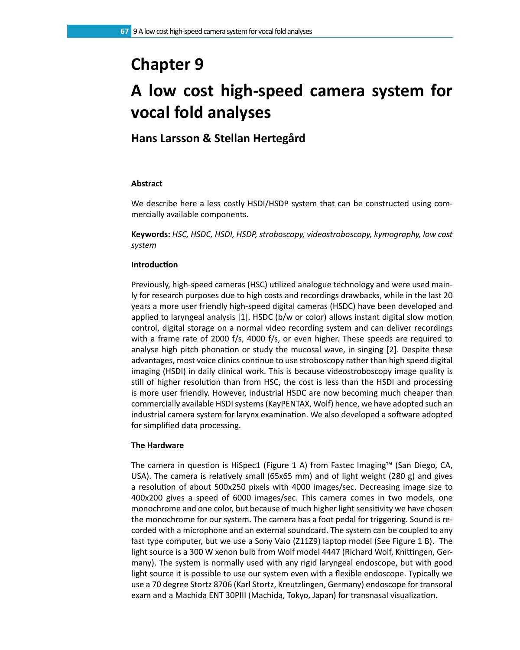# **Chapter 9**

# **A low cost high-speed camera system for vocal fold analyses**

# **Hans Larsson & Stellan Hertegård**

# **Abstract**

We describe here a less costly HSDI/HSDP system that can be constructed using commercially available components.

**Keywords:** *HSC, HSDC, HSDI, HSDP, stroboscopy, videostroboscopy, kymography, low cost system*

# **Introduction**

Previously, high-speed cameras (HSC) utilized analogue technology and were used mainly for research purposes due to high costs and recordings drawbacks, while in the last 20 years a more user friendly high-speed digital cameras (HSDC) have been developed and applied to laryngeal analysis [1]. HSDC (b/w or color) allows instant digital slow motion control, digital storage on a normal video recording system and can deliver recordings with a frame rate of 2000 f/s, 4000 f/s, or even higher. These speeds are required to analyse high pitch phonation or study the mucosal wave, in singing [2]. Despite these advantages, most voice clinics continue to use stroboscopy rather than high speed digital imaging (HSDI) in daily clinical work. This is because videostroboscopy image quality is still of higher resolution than from HSC, the cost is less than the HSDI and processing is more user friendly. However, industrial HSDC are now becoming much cheaper than commercially available HSDI systems (KayPENTAX, Wolf) hence, we have adopted such an industrial camera system for larynx examination. We also developed a software adopted for simplified data processing.

# **The Hardware**

The camera in question is HiSpec1 (Figure 1 A) from Fastec Imaging™ (San Diego, CA, USA). The camera is relatively small (65x65 mm) and of light weight (280 g) and gives a resolution of about 500x250 pixels with 4000 images/sec. Decreasing image size to 400x200 gives a speed of 6000 images/sec. This camera comes in two models, one monochrome and one color, but because of much higher light sensitivity we have chosen the monochrome for our system. The camera has a foot pedal for triggering. Sound is recorded with a microphone and an external soundcard. The system can be coupled to any fast type computer, but we use a Sony Vaio (Z11Z9) laptop model (See Figure 1 B). The light source is a 300 W xenon bulb from Wolf model 4447 (Richard Wolf, Knittingen, Germany). The system is normally used with any rigid laryngeal endoscope, but with good light source it is possible to use our system even with a flexible endoscope. Typically we use a 70 degree Stortz 8706 (Karl Stortz, Kreutzlingen, Germany) endoscope for transoral exam and a Machida ENT 30PIII (Machida, Tokyo, Japan) for transnasal visualization.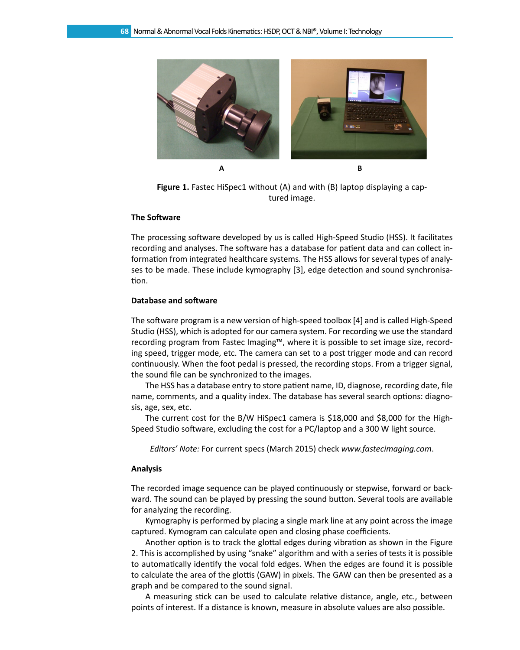

**Figure 1.** Fastec HiSpec1 without (A) and with (B) laptop displaying a captured image.

## **The Software**

The processing software developed by us is called High-Speed Studio (HSS). It facilitates recording and analyses. The software has a database for patient data and can collect information from integrated healthcare systems. The HSS allows for several types of analyses to be made. These include kymography [3], edge detection and sound synchronisation.

#### **Database and software**

The software program is a new version of high-speed toolbox [4] and is called High-Speed Studio (HSS), which is adopted for our camera system. For recording we use the standard recording program from Fastec Imaging™, where it is possible to set image size, recording speed, trigger mode, etc. The camera can set to a post trigger mode and can record continuously. When the foot pedal is pressed, the recording stops. From a trigger signal, the sound file can be synchronized to the images.

The HSS has a database entry to store patient name, ID, diagnose, recording date, file name, comments, and a quality index. The database has several search options: diagnosis, age, sex, etc.

The current cost for the B/W HiSpec1 camera is \$18,000 and \$8,000 for the High-Speed Studio software, excluding the cost for a PC/laptop and a 300 W light source.

*Editors' Note:* For current specs (March 2015) check *www.fastecimaging.com*.

#### **Analysis**

The recorded image sequence can be played continuously or stepwise, forward or backward. The sound can be played by pressing the sound button. Several tools are available for analyzing the recording.

Kymography is performed by placing a single mark line at any point across the image captured. Kymogram can calculate open and closing phase coefficients.

Another option is to track the glottal edges during vibration as shown in the Figure 2. This is accomplished by using "snake" algorithm and with a series of tests it is possible to automatically identify the vocal fold edges. When the edges are found it is possible to calculate the area of the glottis (GAW) in pixels. The GAW can then be presented as a graph and be compared to the sound signal.

A measuring stick can be used to calculate relative distance, angle, etc., between points of interest. If a distance is known, measure in absolute values are also possible.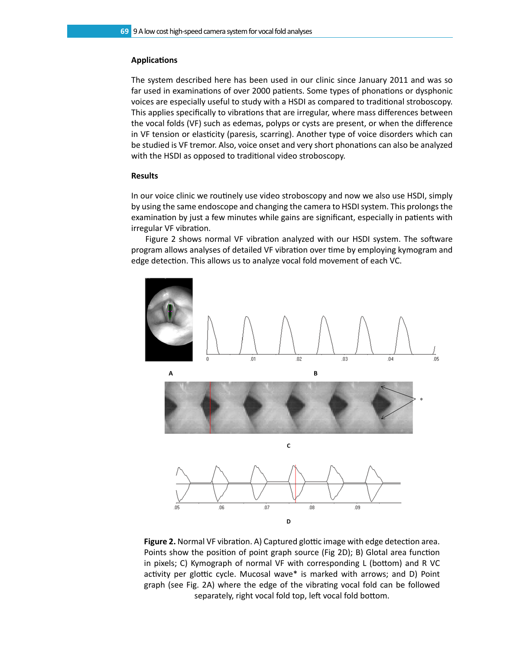#### **Applications**

The system described here has been used in our clinic since January 2011 and was so far used in examinations of over 2000 patients. Some types of phonations or dysphonic voices are especially useful to study with a HSDI as compared to traditional stroboscopy. This applies specifically to vibrations that are irregular, where mass differences between the vocal folds (VF) such as edemas, polyps or cysts are present, or when the difference in VF tension or elasticity (paresis, scarring). Another type of voice disorders which can be studied is VF tremor. Also, voice onset and very short phonations can also be analyzed with the HSDI as opposed to traditional video stroboscopy.

### **Results**

In our voice clinic we routinely use video stroboscopy and now we also use HSDI, simply by using the same endoscope and changing the camera to HSDI system. This prolongs the examination by just a few minutes while gains are significant, especially in patients with irregular VF vibration.

Figure 2 shows normal VF vibration analyzed with our HSDI system. The software program allows analyses of detailed VF vibration over time by employing kymogram and edge detection. This allows us to analyze vocal fold movement of each VC.



**Figure 2.** Normal VF vibration. A) Captured glottic image with edge detection area. Points show the position of point graph source (Fig 2D); B) Glotal area function in pixels; C) Kymograph of normal VF with corresponding L (bottom) and R VC activity per glottic cycle. Mucosal wave\* is marked with arrows; and D) Point graph (see Fig. 2A) where the edge of the vibrating vocal fold can be followed separately, right vocal fold top, left vocal fold bottom.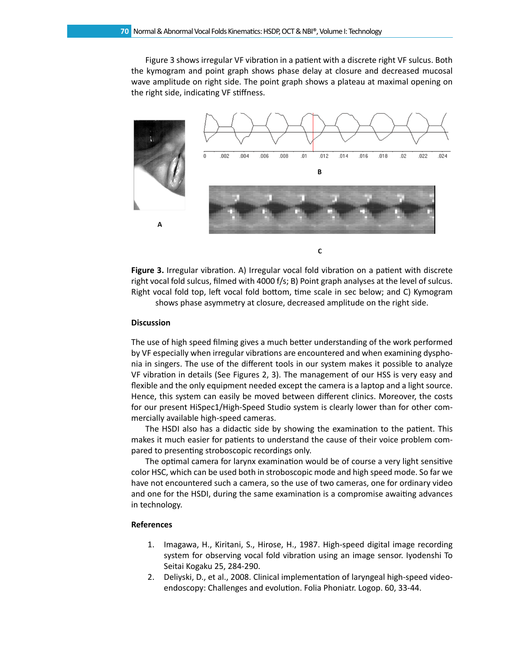Figure 3 shows irregular VF vibration in a patient with a discrete right VF sulcus. Both the kymogram and point graph shows phase delay at closure and decreased mucosal wave amplitude on right side. The point graph shows a plateau at maximal opening on the right side, indicating VF stiffness.



**Figure 3.** Irregular vibration. A) Irregular vocal fold vibration on a patient with discrete right vocal fold sulcus, filmed with 4000 f/s; B) Point graph analyses at the level of sulcus. Right vocal fold top, left vocal fold bottom, time scale in sec below; and C) Kymogram shows phase asymmetry at closure, decreased amplitude on the right side.

#### **Discussion**

The use of high speed filming gives a much better understanding of the work performed by VF especially when irregular vibrations are encountered and when examining dysphonia in singers. The use of the different tools in our system makes it possible to analyze VF vibration in details (See Figures 2, 3). The management of our HSS is very easy and flexible and the only equipment needed except the camera is a laptop and a light source. Hence, this system can easily be moved between different clinics. Moreover, the costs for our present HiSpec1/High-Speed Studio system is clearly lower than for other commercially available high-speed cameras.

The HSDI also has a didactic side by showing the examination to the patient. This makes it much easier for patients to understand the cause of their voice problem compared to presenting stroboscopic recordings only.

The optimal camera for larynx examination would be of course a very light sensitive color HSC, which can be used both in stroboscopic mode and high speed mode. So far we have not encountered such a camera, so the use of two cameras, one for ordinary video and one for the HSDI, during the same examination is a compromise awaiting advances in technology.

## **References**

- 1. Imagawa, H., Kiritani, S., Hirose, H., 1987. High-speed digital image recording system for observing vocal fold vibration using an image sensor. Iyodenshi To Seitai Kogaku 25, 284-290.
- 2. Deliyski, D., et al., 2008. Clinical implementation of laryngeal high-speed videoendoscopy: Challenges and evolution. Folia Phoniatr. Logop. 60, 33-44.